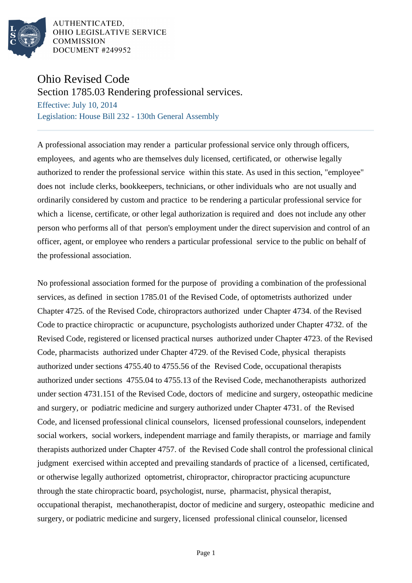

AUTHENTICATED, OHIO LEGISLATIVE SERVICE **COMMISSION** DOCUMENT #249952

## Ohio Revised Code

Section 1785.03 Rendering professional services.

Effective: July 10, 2014 Legislation: House Bill 232 - 130th General Assembly

A professional association may render a particular professional service only through officers, employees, and agents who are themselves duly licensed, certificated, or otherwise legally authorized to render the professional service within this state. As used in this section, "employee" does not include clerks, bookkeepers, technicians, or other individuals who are not usually and ordinarily considered by custom and practice to be rendering a particular professional service for which a license, certificate, or other legal authorization is required and does not include any other person who performs all of that person's employment under the direct supervision and control of an officer, agent, or employee who renders a particular professional service to the public on behalf of the professional association.

No professional association formed for the purpose of providing a combination of the professional services, as defined in section 1785.01 of the Revised Code, of optometrists authorized under Chapter 4725. of the Revised Code, chiropractors authorized under Chapter 4734. of the Revised Code to practice chiropractic or acupuncture, psychologists authorized under Chapter 4732. of the Revised Code, registered or licensed practical nurses authorized under Chapter 4723. of the Revised Code, pharmacists authorized under Chapter 4729. of the Revised Code, physical therapists authorized under sections 4755.40 to 4755.56 of the Revised Code, occupational therapists authorized under sections 4755.04 to 4755.13 of the Revised Code, mechanotherapists authorized under section 4731.151 of the Revised Code, doctors of medicine and surgery, osteopathic medicine and surgery, or podiatric medicine and surgery authorized under Chapter 4731. of the Revised Code, and licensed professional clinical counselors, licensed professional counselors, independent social workers, social workers, independent marriage and family therapists, or marriage and family therapists authorized under Chapter 4757. of the Revised Code shall control the professional clinical judgment exercised within accepted and prevailing standards of practice of a licensed, certificated, or otherwise legally authorized optometrist, chiropractor, chiropractor practicing acupuncture through the state chiropractic board, psychologist, nurse, pharmacist, physical therapist, occupational therapist, mechanotherapist, doctor of medicine and surgery, osteopathic medicine and surgery, or podiatric medicine and surgery, licensed professional clinical counselor, licensed